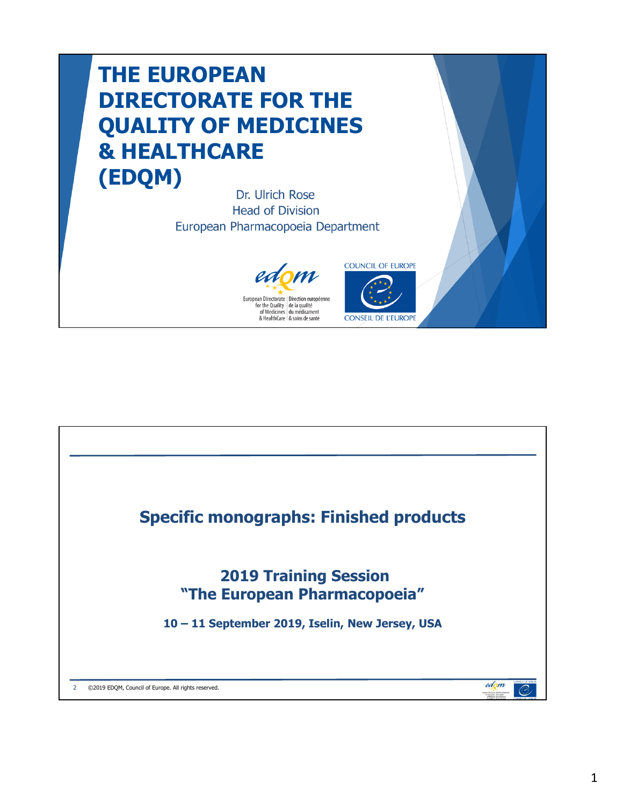## **THE EUROPEAN DIRECTORATE FOR THE QUALITY OF MEDICINES & HEALTHCARE (EDQM)**

Dr. Ulrich Rose **Head of Division** European Pharmacopoeia Department





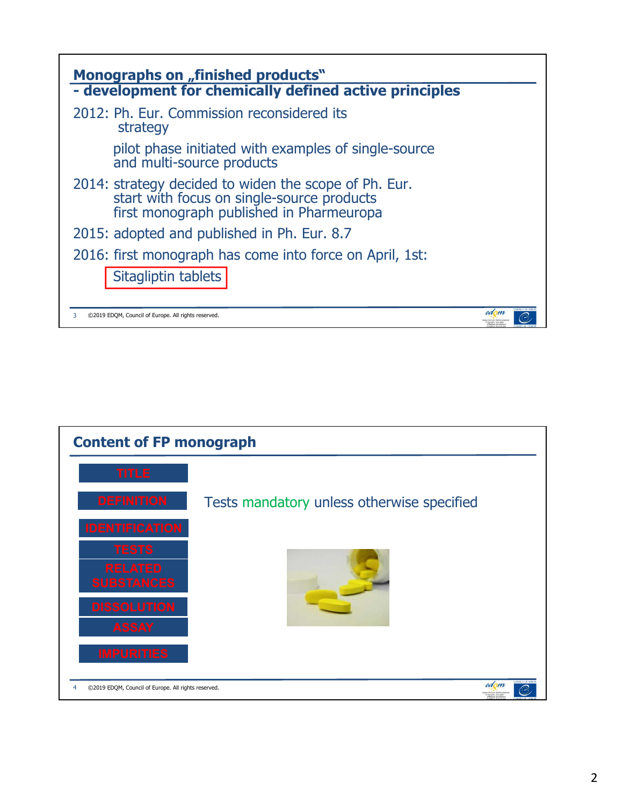

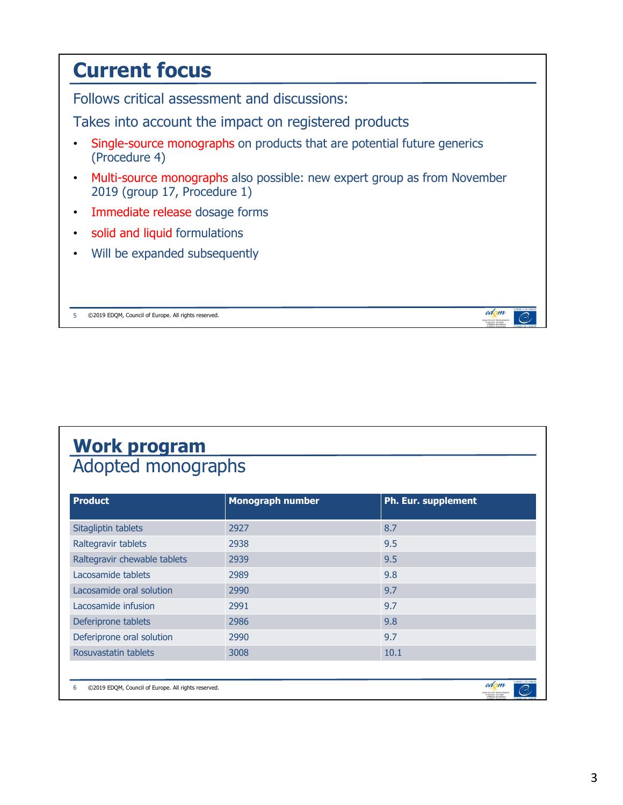## **Current focus** Follows critical assessment and discussions: Takes into account the impact on registered products • Single-source monographs on products that are potential future generics (Procedure 4) • Multi-source monographs also possible: new expert group as from November 2019 (group 17, Procedure 1) • Immediate release dosage forms • solid and liquid formulations • Will be expanded subsequently edom 5 ©2019 EDQM, Council of Europe. All rights reserved.

## **Work program** Adopted monographs

| <b>Product</b>                                                                                                                | <b>Monograph number</b> | <b>Ph. Eur. supplement</b> |
|-------------------------------------------------------------------------------------------------------------------------------|-------------------------|----------------------------|
| Sitagliptin tablets                                                                                                           | 2927                    | 8.7                        |
| Raltegravir tablets                                                                                                           | 2938                    | 9.5                        |
| Raltegravir chewable tablets                                                                                                  | 2939                    | 9.5                        |
| Lacosamide tablets                                                                                                            | 2989                    | 9.8                        |
| Lacosamide oral solution                                                                                                      | 2990                    | 9.7                        |
| Lacosamide infusion                                                                                                           | 2991                    | 9.7                        |
| Deferiprone tablets                                                                                                           | 2986                    | 9.8                        |
| Deferiprone oral solution                                                                                                     | 2990                    | 9.7                        |
| Rosuvastatin tablets                                                                                                          | 3008                    | 10.1                       |
|                                                                                                                               |                         |                            |
| <b>COUNCIL OF HUR.</b><br>edom<br>B<br>©2019 EDQM, Council of Europe. All rights reserved.<br>6<br>by the Dunlin: On Sympathy |                         |                            |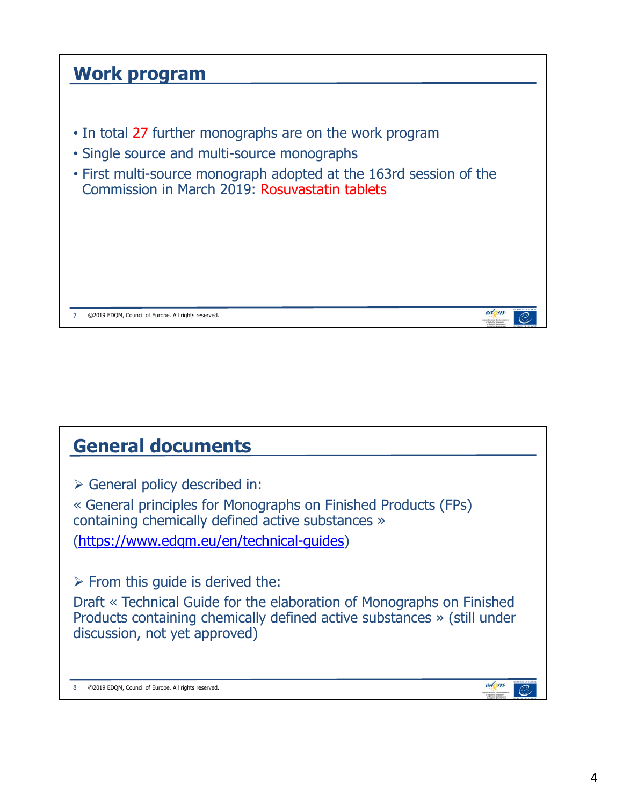## **Work program** • In total 27 further monographs are on the work program • Single source and multi-source monographs • First multi-source monograph adopted at the 163rd session of the Commission in March 2019: Rosuvastatin tablets edom 7 ©2019 EDQM, Council of Europe. All rights reserved.

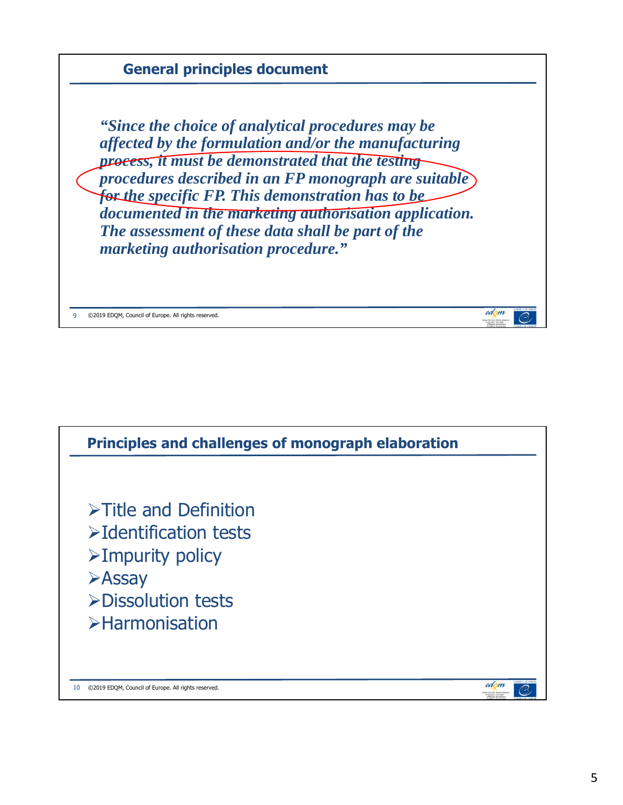

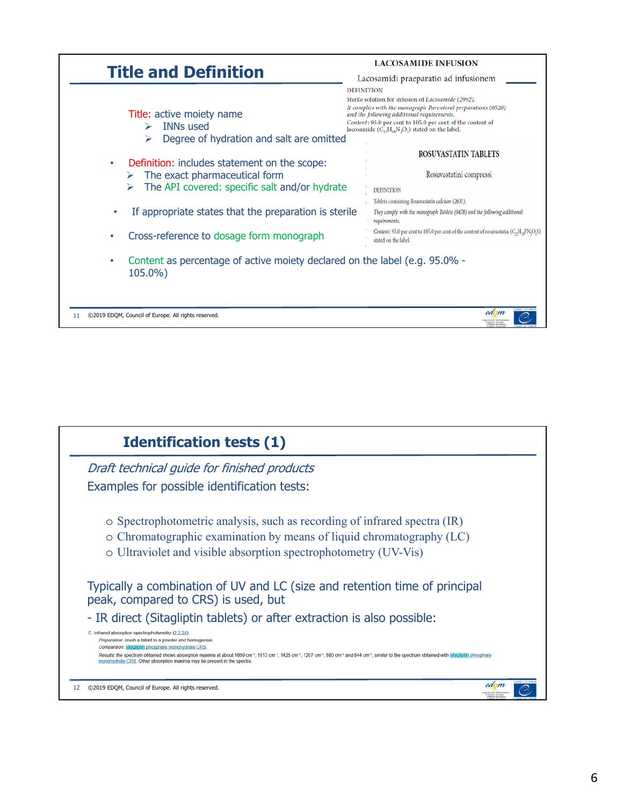

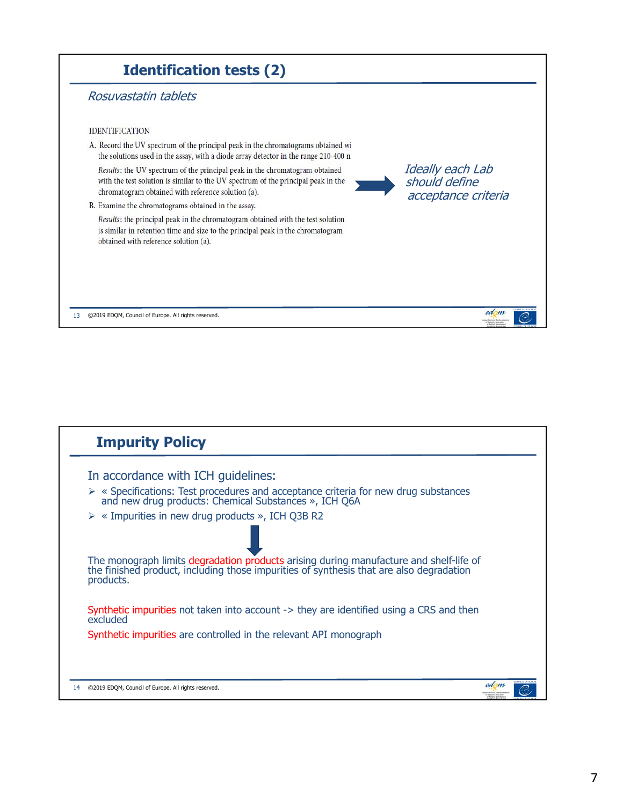

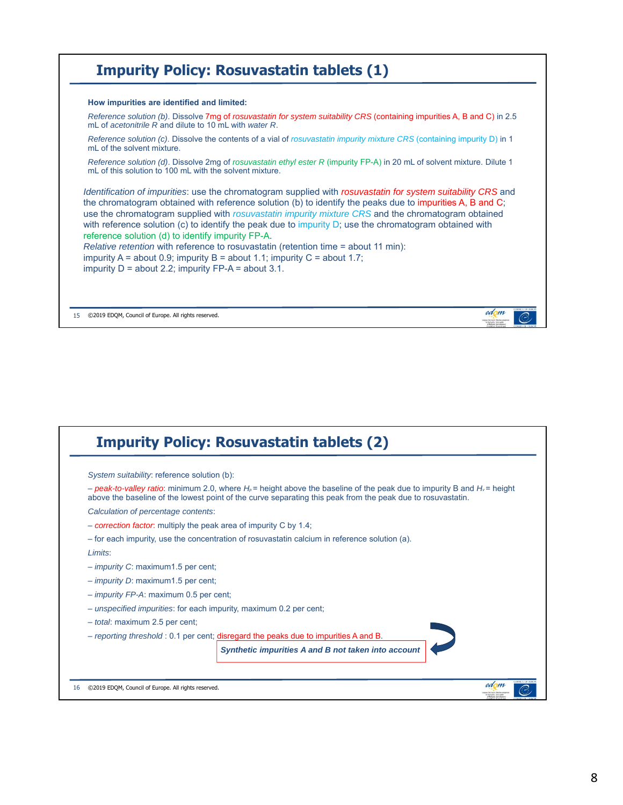

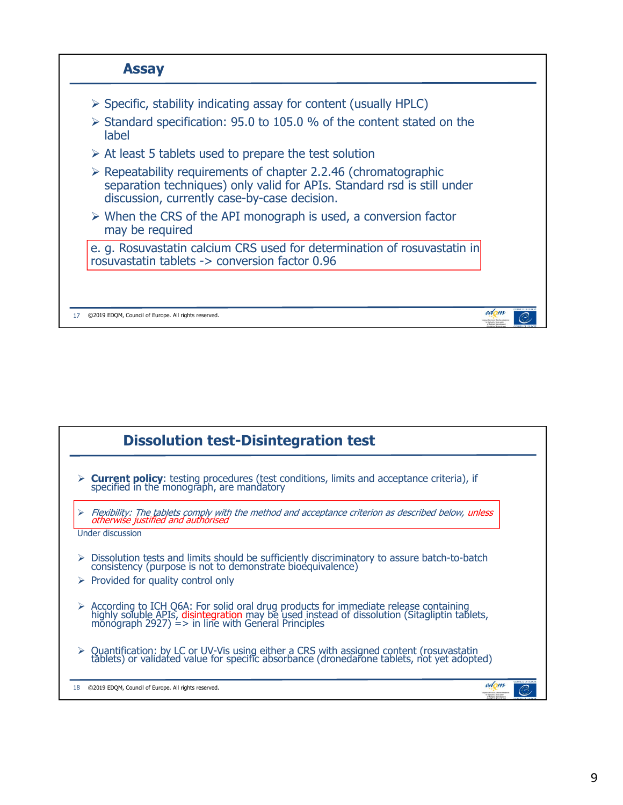

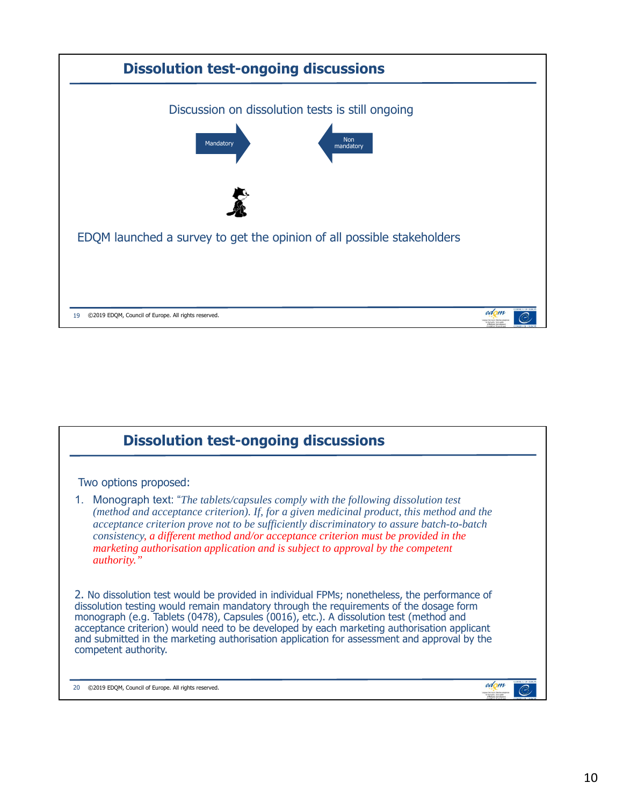

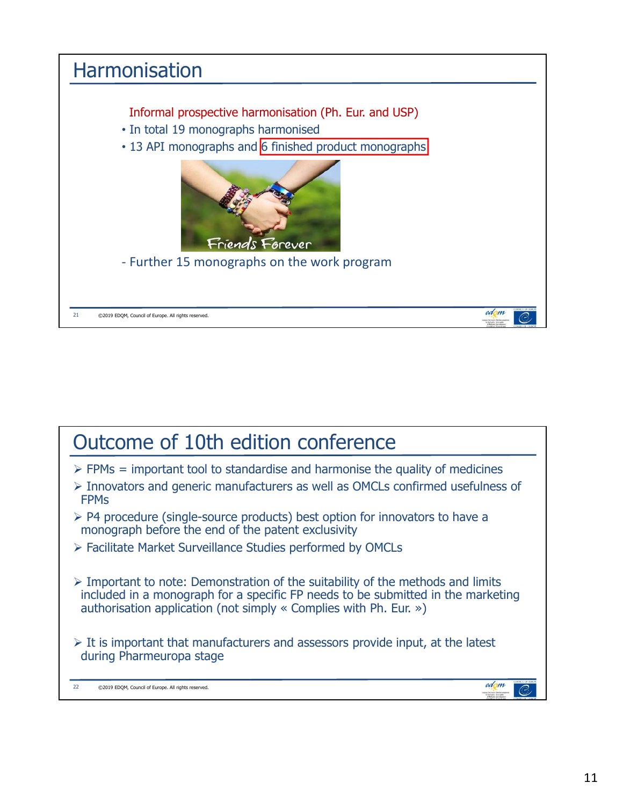

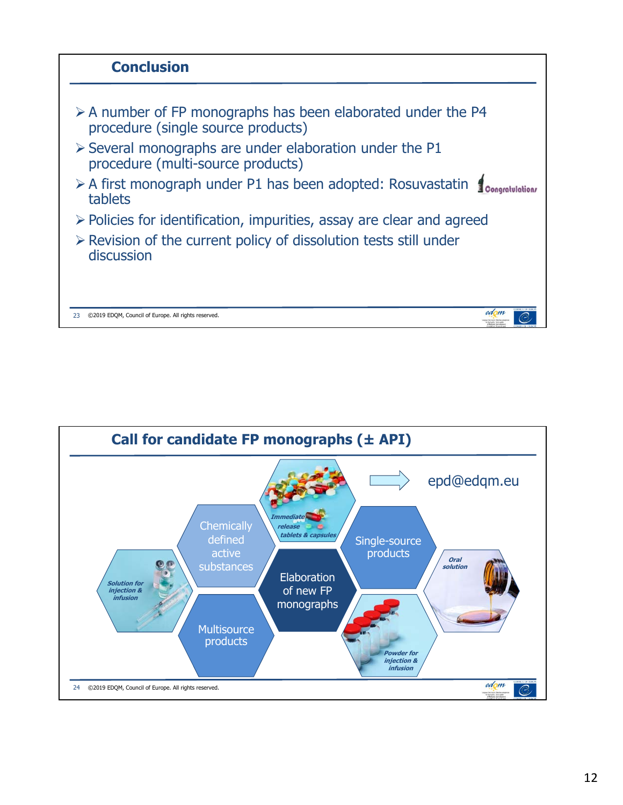